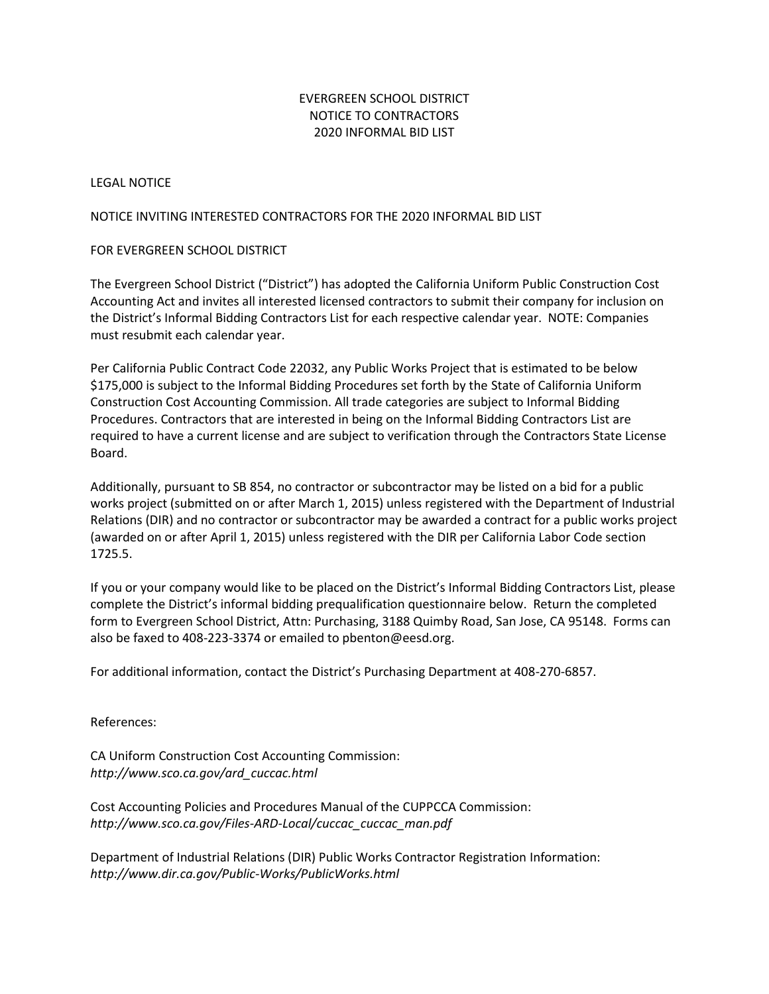## EVERGREEN SCHOOL DISTRICT NOTICE TO CONTRACTORS 2020 INFORMAL BID LIST

### LEGAL NOTICE

### NOTICE INVITING INTERESTED CONTRACTORS FOR THE 2020 INFORMAL BID LIST

### FOR EVERGREEN SCHOOL DISTRICT

The Evergreen School District ("District") has adopted the California Uniform Public Construction Cost Accounting Act and invites all interested licensed contractors to submit their company for inclusion on the District's Informal Bidding Contractors List for each respective calendar year. NOTE: Companies must resubmit each calendar year.

Per California Public Contract Code 22032, any Public Works Project that is estimated to be below \$175,000 is subject to the Informal Bidding Procedures set forth by the State of California Uniform Construction Cost Accounting Commission. All trade categories are subject to Informal Bidding Procedures. Contractors that are interested in being on the Informal Bidding Contractors List are required to have a current license and are subject to verification through the Contractors State License Board.

Additionally, pursuant to SB 854, no contractor or subcontractor may be listed on a bid for a public works project (submitted on or after March 1, 2015) unless registered with the Department of Industrial Relations (DIR) and no contractor or subcontractor may be awarded a contract for a public works project (awarded on or after April 1, 2015) unless registered with the DIR per California Labor Code section 1725.5.

If you or your company would like to be placed on the District's Informal Bidding Contractors List, please complete the District's informal bidding prequalification questionnaire below. Return the completed form to Evergreen School District, Attn: Purchasing, 3188 Quimby Road, San Jose, CA 95148. Forms can also be faxed to 408-223-3374 or emailed to pbenton@eesd.org.

For additional information, contact the District's Purchasing Department at 408-270-6857.

References:

CA Uniform Construction Cost Accounting Commission: *http://www.sco.ca.gov/ard\_cuccac.html*

Cost Accounting Policies and Procedures Manual of the CUPPCCA Commission: *http://www.sco.ca.gov/Files-ARD-Local/cuccac\_cuccac\_man.pdf*

Department of Industrial Relations (DIR) Public Works Contractor Registration Information: *http://www.dir.ca.gov/Public-Works/PublicWorks.html*